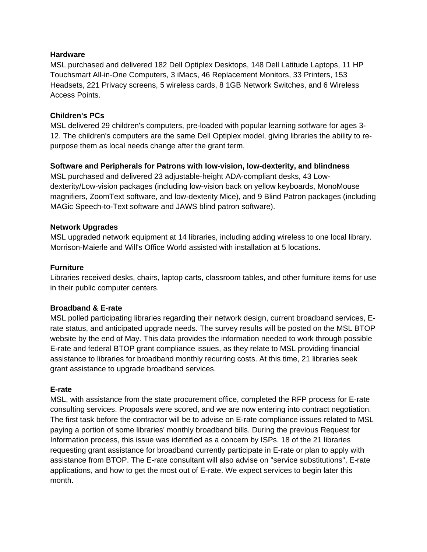### **Hardware**

MSL purchased and delivered 182 Dell Optiplex Desktops, 148 Dell Latitude Laptops, 11 HP Touchsmart All-in-One Computers, 3 iMacs, 46 Replacement Monitors, 33 Printers, 153 Headsets, 221 Privacy screens, 5 wireless cards, 8 1GB Network Switches, and 6 Wireless Access Points.

### **Children's PCs**

MSL delivered 29 children's computers, pre-loaded with popular learning sotfware for ages 3- 12. The children's computers are the same Dell Optiplex model, giving libraries the ability to repurpose them as local needs change after the grant term.

## **Software and Peripherals for Patrons with low-vision, low-dexterity, and blindness**

MSL purchased and delivered 23 adjustable-height ADA-compliant desks, 43 Lowdexterity/Low-vision packages (including low-vision back on yellow keyboards, MonoMouse magnifiers, ZoomText software, and low-dexterity Mice), and 9 Blind Patron packages (including MAGic Speech-to-Text software and JAWS blind patron software).

### **Network Upgrades**

MSL upgraded network equipment at 14 libraries, including adding wireless to one local library. Morrison-Maierle and Will's Office World assisted with installation at 5 locations.

### **Furniture**

Libraries received desks, chairs, laptop carts, classroom tables, and other furniture items for use in their public computer centers.

## **Broadband & E-rate**

MSL polled participating libraries regarding their network design, current broadband services, Erate status, and anticipated upgrade needs. The survey results will be posted on the MSL BTOP website by the end of May. This data provides the information needed to work through possible E-rate and federal BTOP grant compliance issues, as they relate to MSL providing financial assistance to libraries for broadband monthly recurring costs. At this time, 21 libraries seek grant assistance to upgrade broadband services.

## **E-rate**

MSL, with assistance from the state procurement office, completed the RFP process for E-rate consulting services. Proposals were scored, and we are now entering into contract negotiation. The first task before the contractor will be to advise on E-rate compliance issues related to MSL paying a portion of some libraries' monthly broadband bills. During the previous Request for Information process, this issue was identified as a concern by ISPs. 18 of the 21 libraries requesting grant assistance for broadband currently participate in E-rate or plan to apply with assistance from BTOP. The E-rate consultant will also advise on "service substitutions", E-rate applications, and how to get the most out of E-rate. We expect services to begin later this month.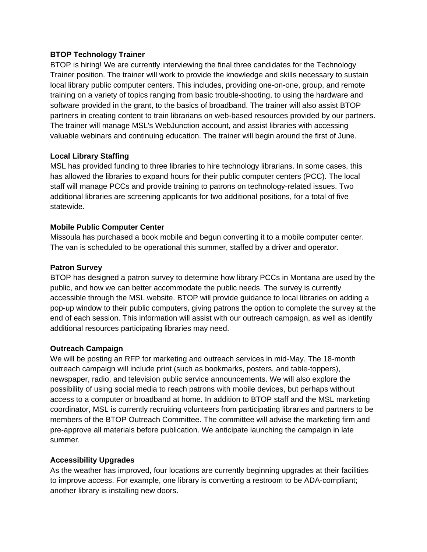## **BTOP Technology Trainer**

BTOP is hiring! We are currently interviewing the final three candidates for the Technology Trainer position. The trainer will work to provide the knowledge and skills necessary to sustain local library public computer centers. This includes, providing one-on-one, group, and remote training on a variety of topics ranging from basic trouble-shooting, to using the hardware and software provided in the grant, to the basics of broadband. The trainer will also assist BTOP partners in creating content to train librarians on web-based resources provided by our partners. The trainer will manage MSL's WebJunction account, and assist libraries with accessing valuable webinars and continuing education. The trainer will begin around the first of June.

# **Local Library Staffing**

MSL has provided funding to three libraries to hire technology librarians. In some cases, this has allowed the libraries to expand hours for their public computer centers (PCC). The local staff will manage PCCs and provide training to patrons on technology-related issues. Two additional libraries are screening applicants for two additional positions, for a total of five statewide.

# **Mobile Public Computer Center**

Missoula has purchased a book mobile and begun converting it to a mobile computer center. The van is scheduled to be operational this summer, staffed by a driver and operator.

## **Patron Survey**

BTOP has designed a patron survey to determine how library PCCs in Montana are used by the public, and how we can better accommodate the public needs. The survey is currently accessible through the MSL website. BTOP will provide guidance to local libraries on adding a pop-up window to their public computers, giving patrons the option to complete the survey at the end of each session. This information will assist with our outreach campaign, as well as identify additional resources participating libraries may need.

## **Outreach Campaign**

We will be posting an RFP for marketing and outreach services in mid-May. The 18-month outreach campaign will include print (such as bookmarks, posters, and table-toppers), newspaper, radio, and television public service announcements. We will also explore the possibility of using social media to reach patrons with mobile devices, but perhaps without access to a computer or broadband at home. In addition to BTOP staff and the MSL marketing coordinator, MSL is currently recruiting volunteers from participating libraries and partners to be members of the BTOP Outreach Committee. The committee will advise the marketing firm and pre-approve all materials before publication. We anticipate launching the campaign in late summer.

## **Accessibility Upgrades**

As the weather has improved, four locations are currently beginning upgrades at their facilities to improve access. For example, one library is converting a restroom to be ADA-compliant; another library is installing new doors.